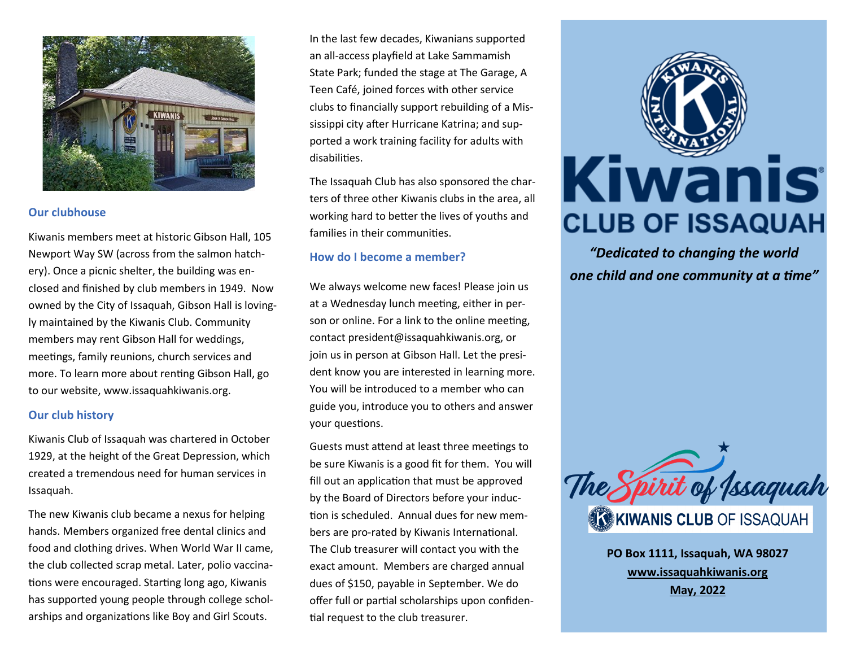

#### **Our clubhouse**

Kiwanis members meet at historic Gibson Hall, 105 Newport Way SW (across from the salmon hatchery). Once a picnic shelter, the building was enclosed and finished by club members in 1949. Now owned by the City of Issaquah, Gibson Hall is lovingly maintained by the Kiwanis Club. Community members may rent Gibson Hall for weddings, meetings, family reunions, church services and more. To learn more about renting Gibson Hall, go to our website, www.issaquahkiwanis.org.

#### **Our club history**

Kiwanis Club of Issaquah was chartered in October 1929, at the height of the Great Depression, which created a tremendous need for human services in Issaquah.

The new Kiwanis club became a nexus for helping hands. Members organized free dental clinics and food and clothing drives. When World War II came, the club collected scrap metal. Later, polio vaccinations were encouraged. Starting long ago, Kiwanis has supported young people through college scholarships and organizations like Boy and Girl Scouts.

In the last few decades, Kiwanians supported an all-access playfield at Lake Sammamish State Park; funded the stage at The Garage, A Teen Café, joined forces with other service clubs to financially support rebuilding of a Mississippi city after Hurricane Katrina; and supported a work training facility for adults with disabilities.

The Issaquah Club has also sponsored the charters of three other Kiwanis clubs in the area, all working hard to better the lives of youths and families in their communities.

### **How do I become a member?**

We always welcome new faces! Please join us at a Wednesday lunch meeting, either in person or online. For a link to the online meeting, contact president@issaquahkiwanis.org, or join us in person at Gibson Hall. Let the president know you are interested in learning more. You will be introduced to a member who can guide you, introduce you to others and answer your questions.

Guests must attend at least three meetings to be sure Kiwanis is a good fit for them. You will fill out an application that must be approved by the Board of Directors before your induction is scheduled. Annual dues for new members are pro-rated by Kiwanis International. The Club treasurer will contact you with the exact amount. Members are charged annual dues of \$150, payable in September. We do offer full or partial scholarships upon confidential request to the club treasurer.



*"Dedicated to changing the world one child and one community at a time"*



**PO Box 1111, Issaquah, WA 98027 www.issaquahkiwanis.org May, 2022**